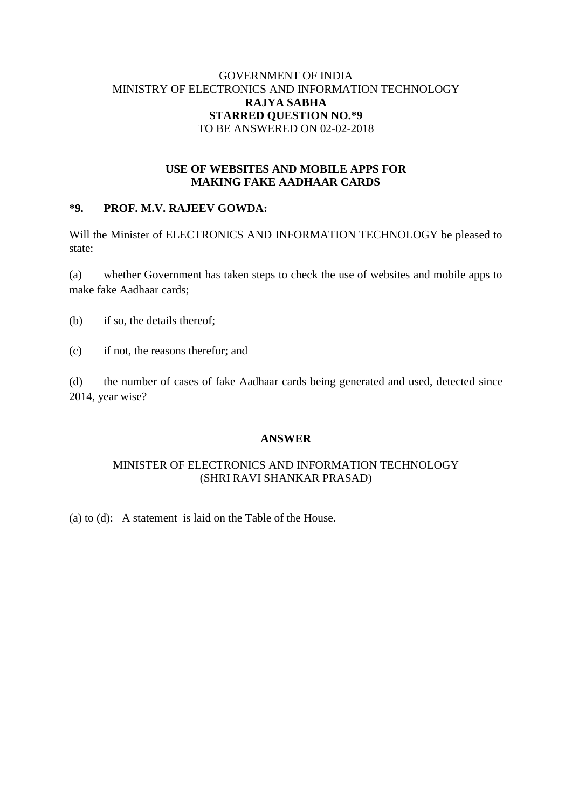## GOVERNMENT OF INDIA MINISTRY OF ELECTRONICS AND INFORMATION TECHNOLOGY **RAJYA SABHA STARRED QUESTION NO.\*9** TO BE ANSWERED ON 02-02-2018

### **USE OF WEBSITES AND MOBILE APPS FOR MAKING FAKE AADHAAR CARDS**

# **\*9. PROF. M.V. RAJEEV GOWDA:**

Will the Minister of ELECTRONICS AND INFORMATION TECHNOLOGY be pleased to state:

(a) whether Government has taken steps to check the use of websites and mobile apps to make fake Aadhaar cards;

(b) if so, the details thereof;

(c) if not, the reasons therefor; and

(d) the number of cases of fake Aadhaar cards being generated and used, detected since 2014, year wise?

# **ANSWER**

### MINISTER OF ELECTRONICS AND INFORMATION TECHNOLOGY (SHRI RAVI SHANKAR PRASAD)

(a) to (d): A statement is laid on the Table of the House.